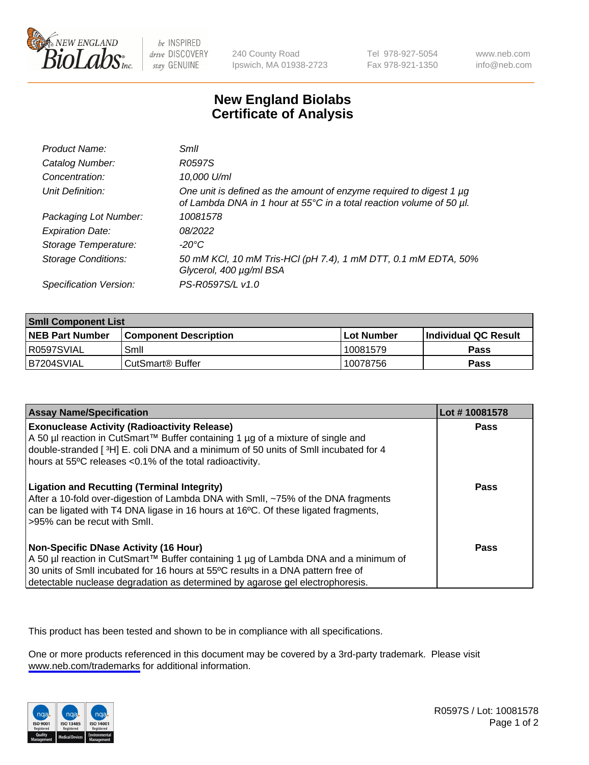

be INSPIRED drive DISCOVERY stay GENUINE

240 County Road Ipswich, MA 01938-2723 Tel 978-927-5054 Fax 978-921-1350

www.neb.com info@neb.com

## **New England Biolabs Certificate of Analysis**

| Product Name:              | Smll                                                                                                                                        |
|----------------------------|---------------------------------------------------------------------------------------------------------------------------------------------|
| Catalog Number:            | R0597S                                                                                                                                      |
| Concentration:             | 10,000 U/ml                                                                                                                                 |
| Unit Definition:           | One unit is defined as the amount of enzyme required to digest 1 µg<br>of Lambda DNA in 1 hour at 55°C in a total reaction volume of 50 µl. |
| Packaging Lot Number:      | 10081578                                                                                                                                    |
| <b>Expiration Date:</b>    | 08/2022                                                                                                                                     |
| Storage Temperature:       | -20°C                                                                                                                                       |
| <b>Storage Conditions:</b> | 50 mM KCl, 10 mM Tris-HCl (pH 7.4), 1 mM DTT, 0.1 mM EDTA, 50%<br>Glycerol, 400 µg/ml BSA                                                   |
| Specification Version:     | PS-R0597S/L v1.0                                                                                                                            |

| <b>Smll Component List</b> |                              |              |                             |  |
|----------------------------|------------------------------|--------------|-----------------------------|--|
| <b>NEB Part Number</b>     | <b>Component Description</b> | l Lot Number | <b>Individual QC Result</b> |  |
| I R0597SVIAL               | Smil                         | 10081579     | Pass                        |  |
| B7204SVIAL                 | l CutSmart® Buffer           | 10078756     | Pass                        |  |

| <b>Assay Name/Specification</b>                                                                                                                                                                                                                                                                          | Lot #10081578 |
|----------------------------------------------------------------------------------------------------------------------------------------------------------------------------------------------------------------------------------------------------------------------------------------------------------|---------------|
| <b>Exonuclease Activity (Radioactivity Release)</b><br>A 50 µl reaction in CutSmart™ Buffer containing 1 µg of a mixture of single and<br>double-stranded [3H] E. coli DNA and a minimum of 50 units of SmII incubated for 4<br>hours at 55°C releases <0.1% of the total radioactivity.                 | Pass          |
| <b>Ligation and Recutting (Terminal Integrity)</b><br>After a 10-fold over-digestion of Lambda DNA with Smll, ~75% of the DNA fragments<br>can be ligated with T4 DNA ligase in 16 hours at 16°C. Of these ligated fragments,<br>>95% can be recut with Smll.                                            | Pass          |
| <b>Non-Specific DNase Activity (16 Hour)</b><br>A 50 µl reaction in CutSmart™ Buffer containing 1 µg of Lambda DNA and a minimum of<br>30 units of Smll incubated for 16 hours at 55°C results in a DNA pattern free of<br>detectable nuclease degradation as determined by agarose gel electrophoresis. | <b>Pass</b>   |

This product has been tested and shown to be in compliance with all specifications.

One or more products referenced in this document may be covered by a 3rd-party trademark. Please visit <www.neb.com/trademarks>for additional information.